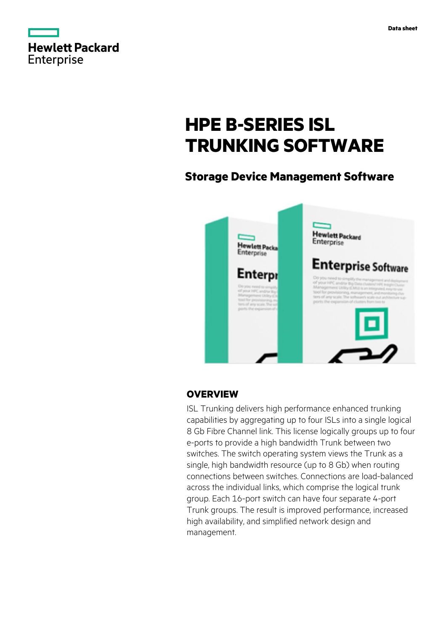|                   | <b>Hewlett Packard</b> |
|-------------------|------------------------|
| <b>Enterprise</b> |                        |

# **HPE B-SERIES ISL TRUNKING SOFTWARE**

# **Storage Device Management Software**



# **OVERVIEW**

ISL Trunking delivers high performance enhanced trunking capabilities by aggregating up to four ISLs into a single logical 8 Gb Fibre Channel link. This license logically groups up to four e-ports to provide a high bandwidth Trunk between two switches. The switch operating system views the Trunk as a single, high bandwidth resource (up to 8 Gb) when routing connections between switches. Connections are load-balanced across the individual links, which comprise the logical trunk group. Each 16-port switch can have four separate 4-port Trunk groups. The result is improved performance, increased high availability, and simplified network design and management.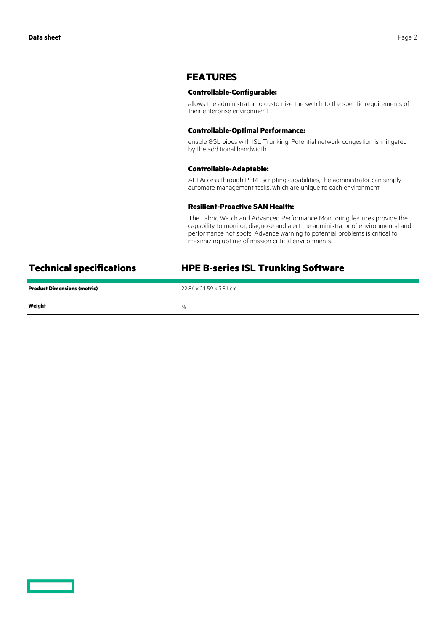## **FEATURES**

### **Controllable-Configurable:**

allows the administrator to customize the switch to the specific requirements of their enterprise environment

#### **Controllable-Optimal Performance:**

enable 8Gb pipes with ISL Trunking. Potential network congestion is mitigated by the additional bandwidth

#### **Controllable-Adaptable:**

API Access through PERL scripting capabilities, the administrator can simply automate management tasks, which are unique to each environment

#### **Resilient-Proactive SAN Health:**

The Fabric Watch and Advanced Performance Monitoring features provide the capability to monitor, diagnose and alert the administrator of environmental and performance hot spots. Advance warning to potential problems is critical to maximizing uptime of mission critical environments.

# **Technical specifications HPE B-series ISL Trunking Software**

| <b>Product Dimensions (metric)</b> | 22.86 x 21.59 x 3.81 cm |
|------------------------------------|-------------------------|
| Weight                             | kg                      |